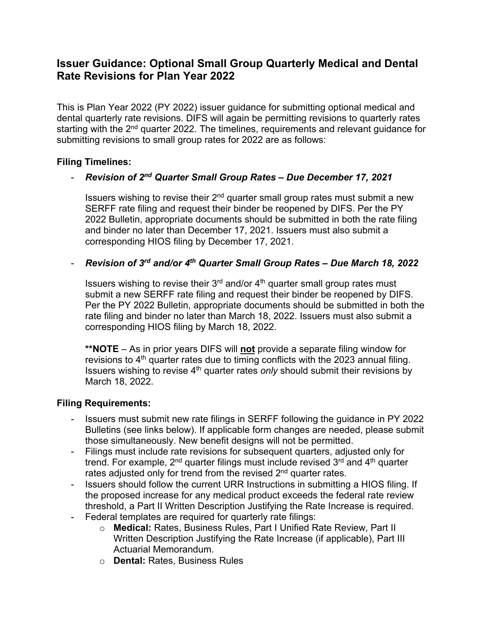# **Issuer Guidance: Optional Small Group Quarterly Medical and Dental Rate Revisions for Plan Year 2022**

This is Plan Year 2022 (PY 2022) issuer guidance for submitting optional medical and dental quarterly rate revisions. DIFS will again be permitting revisions to quarterly rates starting with the 2<sup>nd</sup> quarter 2022. The timelines, requirements and relevant guidance for submitting revisions to small group rates for 2022 are as follows:

### **Filing Timelines:**

# - *Revision of 2nd Quarter Small Group Rates – Due December 17, 2021*

Issuers wishing to revise their  $2<sup>nd</sup>$  quarter small group rates must submit a new SERFF rate filing and request their binder be reopened by DIFS. Per the PY 2022 Bulletin, appropriate documents should be submitted in both the rate filing and binder no later than December 17, 2021. Issuers must also submit a corresponding HIOS filing by December 17, 2021.

### - *Revision of 3rd and/or 4th Quarter Small Group Rates – Due March 18, 2022*

Issuers wishing to revise their  $3<sup>rd</sup>$  and/or  $4<sup>th</sup>$  quarter small group rates must submit a new SERFF rate filing and request their binder be reopened by DIFS. Per the PY 2022 Bulletin, appropriate documents should be submitted in both the rate filing and binder no later than March 18, 2022. Issuers must also submit a corresponding HIOS filing by March 18, 2022.

**\*\*NOTE** – As in prior years DIFS will **not** provide a separate filing window for revisions to  $4<sup>th</sup>$  quarter rates due to timing conflicts with the 2023 annual filing. Issuers wishing to revise 4th quarter rates *only* should submit their revisions by March 18, 2022.

#### **Filing Requirements:**

- Issuers must submit new rate filings in SERFF following the guidance in PY 2022 Bulletins (see links below). If applicable form changes are needed, please submit those simultaneously. New benefit designs will not be permitted.
- Filings must include rate revisions for subsequent quarters, adjusted only for trend. For example,  $2<sup>nd</sup>$  quarter filings must include revised  $3<sup>rd</sup>$  and  $4<sup>th</sup>$  quarter rates adjusted only for trend from the revised  $2<sup>nd</sup>$  quarter rates.
- Issuers should follow the current URR Instructions in submitting a HIOS filing. If the proposed increase for any medical product exceeds the federal rate review threshold, a Part II Written Description Justifying the Rate Increase is required.
- Federal templates are required for quarterly rate filings:
	- o **Medical:** Rates, Business Rules, Part I Unified Rate Review, Part II Written Description Justifying the Rate Increase (if applicable), Part III Actuarial Memorandum.
	- o **Dental:** Rates, Business Rules